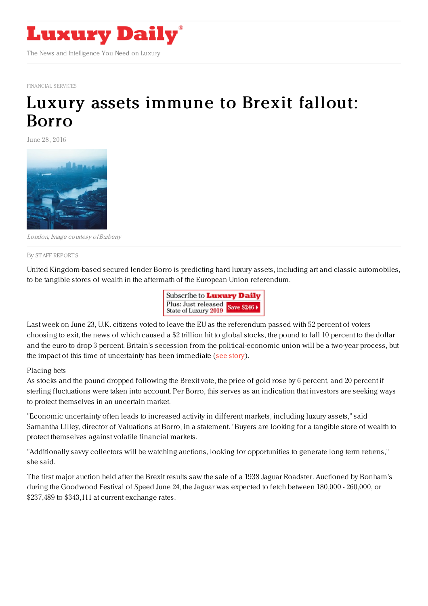

[FINANCIAL](http://www.luxurydaily.com/category/sectors/financial-services/) SERVICES

## Luxury assets [immune](https://www.luxurydaily.com/luxury-assets-immune-to-brexit-fallout-borro/) to Brexit fallout: Borro

June 28, 2016



London; Image courtesy ofBurberry

## By STAFF [REPORT](file:///author/staff-reports) S

United Kingdom-based secured lender Borro is predicting hard luxury assets, including art and classic automobiles, to be tangible stores of wealth in the aftermath of the European Union referendum.



Last week on June 23, U.K. citizens voted to leave the EU as the referendum passed with 52 percent of voters choosing to exit, the news of which caused a \$2 trillion hit to global stocks, the pound to fall 10 percent to the dollar and the euro to drop 3 percent. Britain's secession from the political-economic union will be a two-year process, but the impact of this time of uncertainty has been immediate (see [story](https://www.luxurydaily.com/britain-votes-to-leave-european-union-causing-global-financial-upheaval/)).

## Placing bets

As stocks and the pound dropped following the Brexit vote, the price of gold rose by 6 percent, and 20 percent if sterling fluctuations were taken into account. Per Borro, this serves as an indication that investors are seeking ways to protect themselves in an uncertain market.

"Economic uncertainty often leads to increased activity in different markets, including luxury assets," said Samantha Lilley, director of Valuations at Borro, in a statement. "Buyers are looking for a tangible store of wealth to protect themselves against volatile financial markets.

"Additionally savvy collectors will be watching auctions, looking for opportunities to generate long term returns," she said.

The first major auction held after the Brexit results saw the sale of a 1938 Jaguar Roadster. Auctioned by Bonham's during the Goodwood Festival of Speed June 24, the Jaguar was expected to fetch between 180,000 - 260,000, or \$237,489 to \$343,111 at current exchange rates.